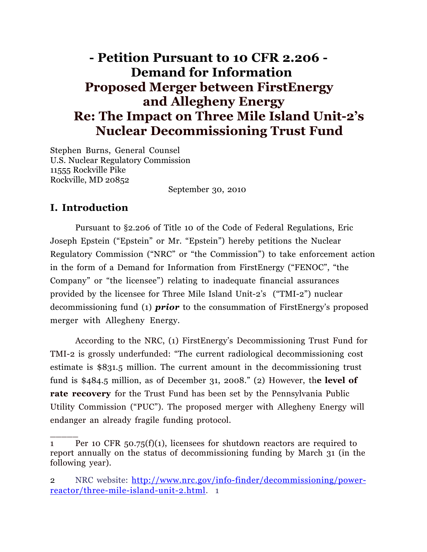# **- Petition Pursuant to 10 CFR 2.206 - Demand for Information Proposed Merger between FirstEnergy and Allegheny Energy Re: The Impact on Three Mile Island Unit-2's Nuclear Decommissioning Trust Fund**

Stephen Burns, General Counsel U.S. Nuclear Regulatory Commission 11555 Rockville Pike Rockville, MD 20852

September 30, 2010

## **I. Introduction**

 $\overline{\phantom{a}}$ 

Pursuant to §2.206 of Title 10 of the Code of Federal Regulations, Eric Joseph Epstein ("Epstein" or Mr. "Epstein") hereby petitions the Nuclear Regulatory Commission ("NRC" or "the Commission") to take enforcement action in the form of a Demand for Information from FirstEnergy ("FENOC", "the Company" or "the licensee") relating to inadequate financial assurances provided by the licensee for Three Mile Island Unit-2's ("TMI-2") nuclear decommissioning fund (1) *prior* to the consummation of FirstEnergy's proposed merger with Allegheny Energy.

According to the NRC, (1) FirstEnergy's Decommissioning Trust Fund for TMI-2 is grossly underfunded: "The current radiological decommissioning cost estimate is \$831.5 million. The current amount in the decommissioning trust fund is \$484.5 million, as of December 31, 2008." (2) However, th**e level of rate recovery** for the Trust Fund has been set by the Pennsylvania Public Utility Commission ("PUC"). The proposed merger with Allegheny Energy will endanger an already fragile funding protocol.

<sup>1</sup> Per 10 CFR 50.75(f)(1), licensees for shutdown reactors are required to report annually on the status of decommissioning funding by March 31 (in the following year).

<sup>2</sup> NRC website: http://www.nrc.gov/info-finder/decommissioning/powerreactor/three-mile-island-unit-2.html. 1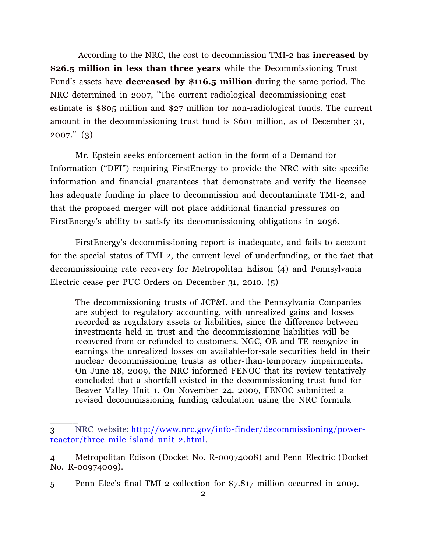According to the NRC, the cost to decommission TMI-2 has **increased by \$26.5 million in less than three years** while the Decommissioning Trust Fund's assets have **decreased by \$116.5 million** during the same period. The NRC determined in 2007, "The current radiological decommissioning cost estimate is \$805 million and \$27 million for non-radiological funds. The current amount in the decommissioning trust fund is \$601 million, as of December 31, 2007." (3)

 Mr. Epstein seeks enforcement action in the form of a Demand for Information ("DFI") requiring FirstEnergy to provide the NRC with site-specific information and financial guarantees that demonstrate and verify the licensee has adequate funding in place to decommission and decontaminate TMI-2, and that the proposed merger will not place additional financial pressures on FirstEnergy's ability to satisfy its decommissioning obligations in 2036.

FirstEnergy's decommissioning report is inadequate, and fails to account for the special status of TMI-2, the current level of underfunding, or the fact that decommissioning rate recovery for Metropolitan Edison (4) and Pennsylvania Electric cease per PUC Orders on December 31, 2010. (5)

The decommissioning trusts of JCP&L and the Pennsylvania Companies are subject to regulatory accounting, with unrealized gains and losses recorded as regulatory assets or liabilities, since the difference between investments held in trust and the decommissioning liabilities will be recovered from or refunded to customers. NGC, OE and TE recognize in earnings the unrealized losses on available-for-sale securities held in their nuclear decommissioning trusts as other-than-temporary impairments. On June 18, 2009, the NRC informed FENOC that its review tentatively concluded that a shortfall existed in the decommissioning trust fund for Beaver Valley Unit 1. On November 24, 2009, FENOC submitted a revised decommissioning funding calculation using the NRC formula

 $\overline{\phantom{a}}$ 

<sup>3</sup> NRC website: http://www.nrc.gov/info-finder/decommissioning/powerreactor/three-mile-island-unit-2.html.

<sup>4</sup> Metropolitan Edison (Docket No. R-00974008) and Penn Electric (Docket No. R-00974009).

<sup>5</sup> Penn Elec's final TMI-2 collection for \$7.817 million occurred in 2009.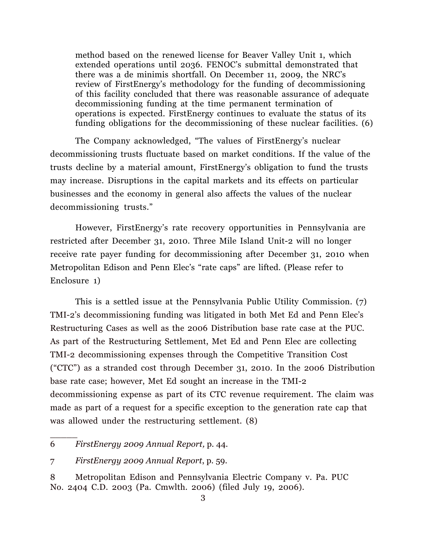method based on the renewed license for Beaver Valley Unit 1, which extended operations until 2036. FENOC's submittal demonstrated that there was a de minimis shortfall. On December 11, 2009, the NRC's review of FirstEnergy's methodology for the funding of decommissioning of this facility concluded that there was reasonable assurance of adequate decommissioning funding at the time permanent termination of operations is expected. FirstEnergy continues to evaluate the status of its funding obligations for the decommissioning of these nuclear facilities. (6)

The Company acknowledged, "The values of FirstEnergy's nuclear decommissioning trusts fluctuate based on market conditions. If the value of the trusts decline by a material amount, FirstEnergy's obligation to fund the trusts may increase. Disruptions in the capital markets and its effects on particular businesses and the economy in general also affects the values of the nuclear decommissioning trusts."

However, FirstEnergy's rate recovery opportunities in Pennsylvania are restricted after December 31, 2010. Three Mile Island Unit-2 will no longer receive rate payer funding for decommissioning after December 31, 2010 when Metropolitan Edison and Penn Elec's "rate caps" are lifted. (Please refer to Enclosure 1)

This is a settled issue at the Pennsylvania Public Utility Commission. (7) TMI-2's decommissioning funding was litigated in both Met Ed and Penn Elec's Restructuring Cases as well as the 2006 Distribution base rate case at the PUC. As part of the Restructuring Settlement, Met Ed and Penn Elec are collecting TMI-2 decommissioning expenses through the Competitive Transition Cost ("CTC") as a stranded cost through December 31, 2010. In the 2006 Distribution base rate case; however, Met Ed sought an increase in the TMI-2 decommissioning expense as part of its CTC revenue requirement. The claim was made as part of a request for a specific exception to the generation rate cap that was allowed under the restructuring settlement. (8)

\_\_\_\_\_

<sup>6</sup> *FirstEnergy 2009 Annual Report,* p. 44.

<sup>7</sup> *FirstEnergy 2009 Annual Report*, p. 59.

<sup>8</sup> Metropolitan Edison and Pennsylvania Electric Company v. Pa. PUC No. 2404 C.D. 2003 (Pa. Cmwlth. 2006) (filed July 19, 2006).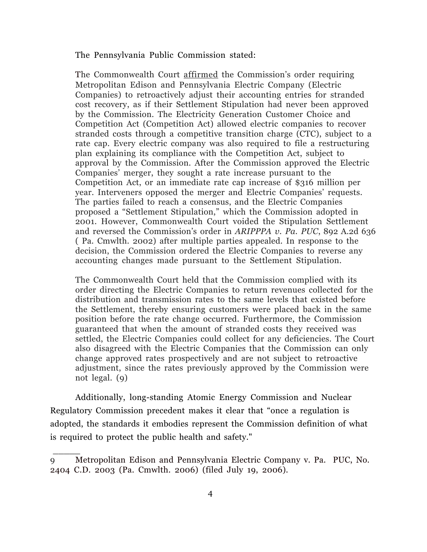The Pennsylvania Public Commission stated:

The Commonwealth Court affirmed the Commission's order requiring Metropolitan Edison and Pennsylvania Electric Company (Electric Companies) to retroactively adjust their accounting entries for stranded cost recovery, as if their Settlement Stipulation had never been approved by the Commission. The Electricity Generation Customer Choice and Competition Act (Competition Act) allowed electric companies to recover stranded costs through a competitive transition charge (CTC), subject to a rate cap. Every electric company was also required to file a restructuring plan explaining its compliance with the Competition Act, subject to approval by the Commission. After the Commission approved the Electric Companies' merger, they sought a rate increase pursuant to the Competition Act, or an immediate rate cap increase of \$316 million per year. Interveners opposed the merger and Electric Companies' requests. The parties failed to reach a consensus, and the Electric Companies proposed a "Settlement Stipulation," which the Commission adopted in 2001. However, Commonwealth Court voided the Stipulation Settlement and reversed the Commission's order in *ARIPPPA v. Pa. PUC*, 892 A.2d 636 ( Pa. Cmwlth. 2002) after multiple parties appealed. In response to the decision, the Commission ordered the Electric Companies to reverse any accounting changes made pursuant to the Settlement Stipulation.

The Commonwealth Court held that the Commission complied with its order directing the Electric Companies to return revenues collected for the distribution and transmission rates to the same levels that existed before the Settlement, thereby ensuring customers were placed back in the same position before the rate change occurred. Furthermore, the Commission guaranteed that when the amount of stranded costs they received was settled, the Electric Companies could collect for any deficiencies. The Court also disagreed with the Electric Companies that the Commission can only change approved rates prospectively and are not subject to retroactive adjustment, since the rates previously approved by the Commission were not legal. (9)

 Additionally, long-standing Atomic Energy Commission and Nuclear Regulatory Commission precedent makes it clear that "once a regulation is adopted, the standards it embodies represent the Commission definition of what is required to protect the public health and safety."

\_\_\_\_\_

<sup>9</sup> Metropolitan Edison and Pennsylvania Electric Company v. Pa. PUC, No. 2404 C.D. 2003 (Pa. Cmwlth. 2006) (filed July 19, 2006).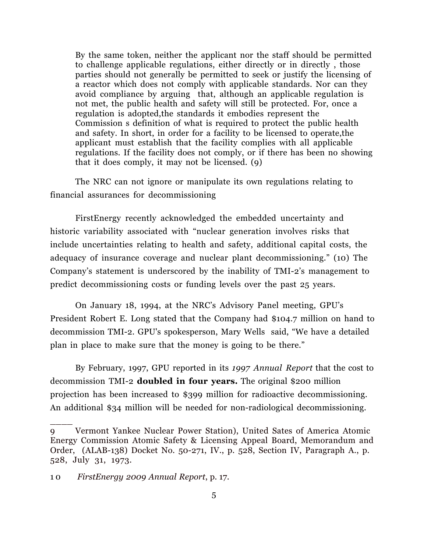By the same token, neither the applicant nor the staff should be permitted to challenge applicable regulations, either directly or in directly , those parties should not generally be permitted to seek or justify the licensing of a reactor which does not comply with applicable standards. Nor can they avoid compliance by arguing that, although an applicable regulation is not met, the public health and safety will still be protected. For, once a regulation is adopted,the standards it embodies represent the Commission s definition of what is required to protect the public health and safety. In short, in order for a facility to be licensed to operate,the applicant must establish that the facility complies with all applicable regulations. If the facility does not comply, or if there has been no showing that it does comply, it may not be licensed. (9)

The NRC can not ignore or manipulate its own regulations relating to financial assurances for decommissioning

FirstEnergy recently acknowledged the embedded uncertainty and historic variability associated with "nuclear generation involves risks that include uncertainties relating to health and safety, additional capital costs, the adequacy of insurance coverage and nuclear plant decommissioning." (10) The Company's statement is underscored by the inability of TMI-2's management to predict decommissioning costs or funding levels over the past 25 years.

On January 18, 1994, at the NRC's Advisory Panel meeting, GPU's President Robert E. Long stated that the Company had \$104.7 million on hand to decommission TMI-2. GPU's spokesperson, Mary Wells said, "We have a detailed plan in place to make sure that the money is going to be there."

By February, 1997, GPU reported in its *1997 Annual Report* that the cost to decommission TMI-2 **doubled in four years.** The original \$200 million projection has been increased to \$399 million for radioactive decommissioning. An additional \$34 million will be needed for non-radiological decommissioning.

 $\overline{\phantom{a}}$ 

<sup>9</sup> Vermont Yankee Nuclear Power Station), United Sates of America Atomic Energy Commission Atomic Safety & Licensing Appeal Board, Memorandum and Order, (ALAB-138) Docket No. 50-271, IV., p. 528, Section IV, Paragraph A., p. 528, July 31, 1973.

<sup>1 0</sup> *FirstEnergy 2009 Annual Report*, p. 17.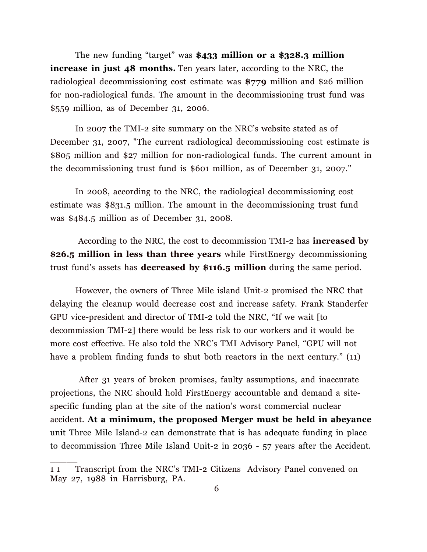The new funding "target" was **\$433 million or a \$328.3 million increase in just 48 months.** Ten years later, according to the NRC, the radiological decommissioning cost estimate was **\$779** million and \$26 million for non-radiological funds. The amount in the decommissioning trust fund was \$559 million, as of December 31, 2006.

In 2007 the TMI-2 site summary on the NRC's website stated as of December 31, 2007, "The current radiological decommissioning cost estimate is \$805 million and \$27 million for non-radiological funds. The current amount in the decommissioning trust fund is \$601 million, as of December 31, 2007."

In 2008, according to the NRC, the radiological decommissioning cost estimate was \$831.5 million. The amount in the decommissioning trust fund was \$484.5 million as of December 31, 2008.

According to the NRC, the cost to decommission TMI-2 has **increased by \$26.5 million in less than three years** while FirstEnergy decommissioning trust fund's assets has **decreased by \$116.5 million** during the same period.

However, the owners of Three Mile island Unit-2 promised the NRC that delaying the cleanup would decrease cost and increase safety. Frank Standerfer GPU vice-president and director of TMI-2 told the NRC, "If we wait [to decommission TMI-2] there would be less risk to our workers and it would be more cost effective. He also told the NRC's TMI Advisory Panel, "GPU will not have a problem finding funds to shut both reactors in the next century." (11)

After 31 years of broken promises, faulty assumptions, and inaccurate projections, the NRC should hold FirstEnergy accountable and demand a sitespecific funding plan at the site of the nation's worst commercial nuclear accident. **At a minimum, the proposed Merger must be held in abeyance** unit Three Mile Island-2 can demonstrate that is has adequate funding in place to decommission Three Mile Island Unit-2 in 2036 - 57 years after the Accident.

\_\_\_\_\_

<sup>11</sup> Transcript from the NRC's TMI-2 Citizens Advisory Panel convened on May 27, 1988 in Harrisburg, PA.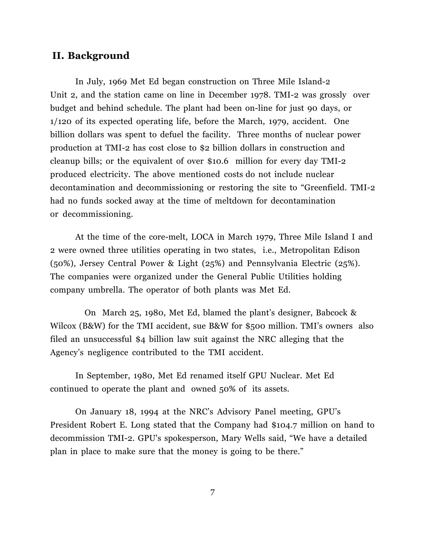## **II. Background**

In July, 1969 Met Ed began construction on Three Mile Island-2 Unit 2, and the station came on line in December 1978. TMI-2 was grossly over budget and behind schedule. The plant had been on-line for just 90 days, or 1/120 of its expected operating life, before the March, 1979, accident. One billion dollars was spent to defuel the facility. Three months of nuclear power production at TMI-2 has cost close to \$2 billion dollars in construction and cleanup bills; or the equivalent of over \$10.6 million for every day TMI-2 produced electricity. The above mentioned costs do not include nuclear decontamination and decommissioning or restoring the site to "Greenfield. TMI-2 had no funds socked away at the time of meltdown for decontamination or decommissioning.

At the time of the core-melt, LOCA in March 1979, Three Mile Island I and 2 were owned three utilities operating in two states, i.e., Metropolitan Edison (50%), Jersey Central Power & Light (25%) and Pennsylvania Electric (25%). The companies were organized under the General Public Utilities holding company umbrella. The operator of both plants was Met Ed.

 On March 25, 1980, Met Ed, blamed the plant's designer, Babcock & Wilcox (B&W) for the TMI accident, sue B&W for \$500 million. TMI's owners also filed an unsuccessful \$4 billion law suit against the NRC alleging that the Agency's negligence contributed to the TMI accident.

In September, 1980, Met Ed renamed itself GPU Nuclear. Met Ed continued to operate the plant and owned 50% of its assets.

On January 18, 1994 at the NRC's Advisory Panel meeting, GPU's President Robert E. Long stated that the Company had \$104.7 million on hand to decommission TMI-2. GPU's spokesperson, Mary Wells said, "We have a detailed plan in place to make sure that the money is going to be there."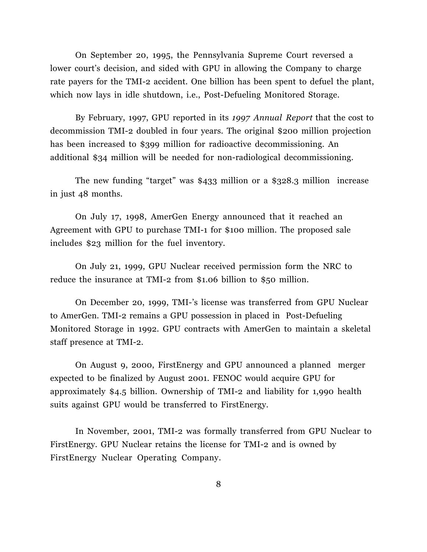On September 20, 1995, the Pennsylvania Supreme Court reversed a lower court's decision, and sided with GPU in allowing the Company to charge rate payers for the TMI-2 accident. One billion has been spent to defuel the plant, which now lays in idle shutdown, i.e., Post-Defueling Monitored Storage.

By February, 1997, GPU reported in its *1997 Annual Report* that the cost to decommission TMI-2 doubled in four years. The original \$200 million projection has been increased to \$399 million for radioactive decommissioning. An additional \$34 million will be needed for non-radiological decommissioning.

The new funding "target" was \$433 million or a \$328.3 million increase in just 48 months.

On July 17, 1998, AmerGen Energy announced that it reached an Agreement with GPU to purchase TMI-1 for \$100 million. The proposed sale includes \$23 million for the fuel inventory.

On July 21, 1999, GPU Nuclear received permission form the NRC to reduce the insurance at TMI-2 from \$1.06 billion to \$50 million.

On December 20, 1999, TMI-'s license was transferred from GPU Nuclear to AmerGen. TMI-2 remains a GPU possession in placed in Post-Defueling Monitored Storage in 1992. GPU contracts with AmerGen to maintain a skeletal staff presence at TMI-2.

On August 9, 2000, FirstEnergy and GPU announced a planned merger expected to be finalized by August 2001. FENOC would acquire GPU for approximately \$4.5 billion. Ownership of TMI-2 and liability for 1,990 health suits against GPU would be transferred to FirstEnergy.

In November, 2001, TMI-2 was formally transferred from GPU Nuclear to FirstEnergy. GPU Nuclear retains the license for TMI-2 and is owned by FirstEnergy Nuclear Operating Company.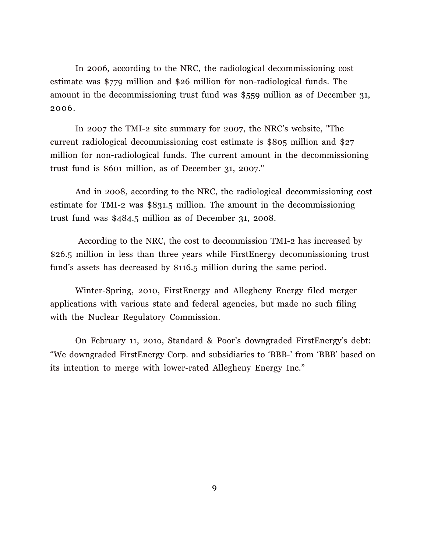In 2006, according to the NRC, the radiological decommissioning cost estimate was \$779 million and \$26 million for non-radiological funds. The amount in the decommissioning trust fund was \$559 million as of December 31, 2006.

In 2007 the TMI-2 site summary for 2007, the NRC's website, "The current radiological decommissioning cost estimate is \$805 million and \$27 million for non-radiological funds. The current amount in the decommissioning trust fund is \$601 million, as of December 31, 2007."

And in 2008, according to the NRC, the radiological decommissioning cost estimate for TMI-2 was \$831.5 million. The amount in the decommissioning trust fund was \$484.5 million as of December 31, 2008.

According to the NRC, the cost to decommission TMI-2 has increased by \$26.5 million in less than three years while FirstEnergy decommissioning trust fund's assets has decreased by \$116.5 million during the same period.

Winter-Spring, 2010, FirstEnergy and Allegheny Energy filed merger applications with various state and federal agencies, but made no such filing with the Nuclear Regulatory Commission.

On February 11, 201o, Standard & Poor's downgraded FirstEnergy's debt: "We downgraded FirstEnergy Corp. and subsidiaries to 'BBB-' from 'BBB' based on its intention to merge with lower-rated Allegheny Energy Inc."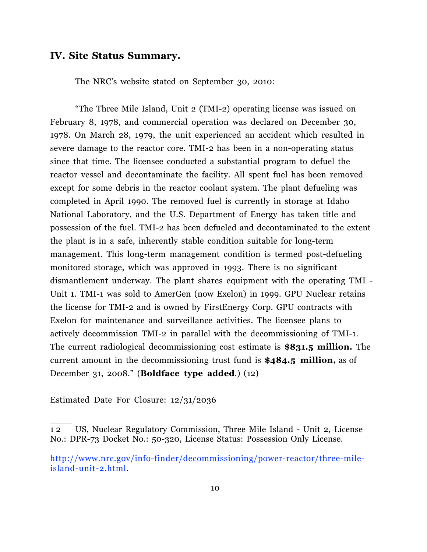### **IV. Site Status Summary.**

The NRC's website stated on September 30, 2010:

"The Three Mile Island, Unit 2 (TMI-2) operating license was issued on February 8, 1978, and commercial operation was declared on December 30, 1978. On March 28, 1979, the unit experienced an accident which resulted in severe damage to the reactor core. TMI-2 has been in a non-operating status since that time. The licensee conducted a substantial program to defuel the reactor vessel and decontaminate the facility. All spent fuel has been removed except for some debris in the reactor coolant system. The plant defueling was completed in April 1990. The removed fuel is currently in storage at Idaho National Laboratory, and the U.S. Department of Energy has taken title and possession of the fuel. TMI-2 has been defueled and decontaminated to the extent the plant is in a safe, inherently stable condition suitable for long-term management. This long-term management condition is termed post-defueling monitored storage, which was approved in 1993. There is no significant dismantlement underway. The plant shares equipment with the operating TMI - Unit 1. TMI-1 was sold to AmerGen (now Exelon) in 1999. GPU Nuclear retains the license for TMI-2 and is owned by FirstEnergy Corp. GPU contracts with Exelon for maintenance and surveillance activities. The licensee plans to actively decommission TMI-2 in parallel with the decommissioning of TMI-1. The current radiological decommissioning cost estimate is **\$831.5 million.** The current amount in the decommissioning trust fund is **\$484.5 million,** as of December 31, 2008." (**Boldface type added**.) (12)

Estimated Date For Closure: 12/31/2036

 $\overline{\phantom{a}}$ 

<sup>1 2</sup> US, Nuclear Regulatory Commission, Three Mile Island - Unit 2, License No.: DPR-73 Docket No.: 50-320, License Status: Possession Only License.

http://www.nrc.gov/info-finder/decommissioning/power-reactor/three-mileisland-unit-2.html.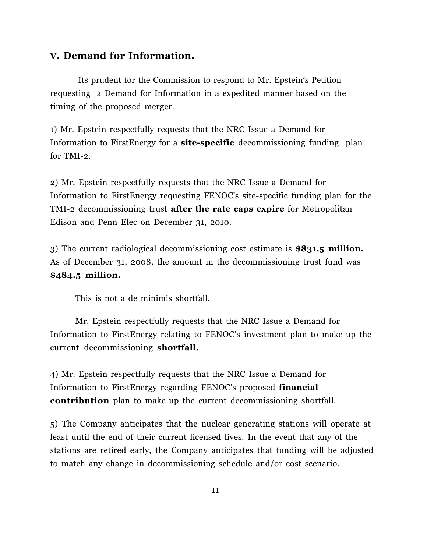## **V. Demand for Information.**

Its prudent for the Commission to respond to Mr. Epstein's Petition requesting a Demand for Information in a expedited manner based on the timing of the proposed merger.

1) Mr. Epstein respectfully requests that the NRC Issue a Demand for Information to FirstEnergy for a **site-specific** decommissioning funding plan for TMI-2.

2) Mr. Epstein respectfully requests that the NRC Issue a Demand for Information to FirstEnergy requesting FENOC's site-specific funding plan for the TMI-2 decommissioning trust **after the rate caps expire** for Metropolitan Edison and Penn Elec on December 31, 2010.

3) The current radiological decommissioning cost estimate is **\$831.5 million.**  As of December 31, 2008, the amount in the decommissioning trust fund was **\$484.5 million.**

This is not a de minimis shortfall.

Mr. Epstein respectfully requests that the NRC Issue a Demand for Information to FirstEnergy relating to FENOC's investment plan to make-up the current decommissioning **shortfall.**

4) Mr. Epstein respectfully requests that the NRC Issue a Demand for Information to FirstEnergy regarding FENOC's proposed **financial contribution** plan to make-up the current decommissioning shortfall.

5) The Company anticipates that the nuclear generating stations will operate at least until the end of their current licensed lives. In the event that any of the stations are retired early, the Company anticipates that funding will be adjusted to match any change in decommissioning schedule and/or cost scenario.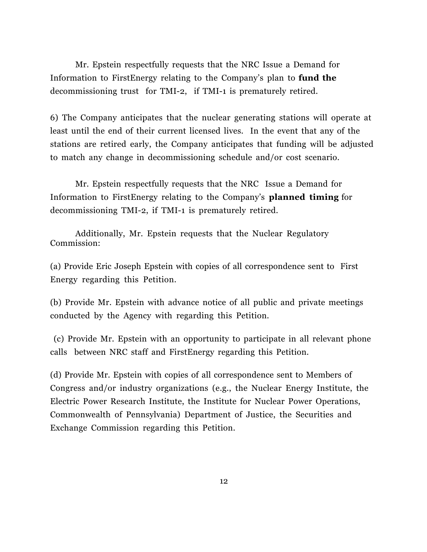Mr. Epstein respectfully requests that the NRC Issue a Demand for Information to FirstEnergy relating to the Company's plan to **fund the**  decommissioning trust for TMI-2, if TMI-1 is prematurely retired.

6) The Company anticipates that the nuclear generating stations will operate at least until the end of their current licensed lives. In the event that any of the stations are retired early, the Company anticipates that funding will be adjusted to match any change in decommissioning schedule and/or cost scenario.

Mr. Epstein respectfully requests that the NRC Issue a Demand for Information to FirstEnergy relating to the Company's **planned timing** for decommissioning TMI-2, if TMI-1 is prematurely retired.

Additionally, Mr. Epstein requests that the Nuclear Regulatory Commission:

(a) Provide Eric Joseph Epstein with copies of all correspondence sent to First Energy regarding this Petition.

(b) Provide Mr. Epstein with advance notice of all public and private meetings conducted by the Agency with regarding this Petition.

(c) Provide Mr. Epstein with an opportunity to participate in all relevant phone calls between NRC staff and FirstEnergy regarding this Petition.

(d) Provide Mr. Epstein with copies of all correspondence sent to Members of Congress and/or industry organizations (e.g., the Nuclear Energy Institute, the Electric Power Research Institute, the Institute for Nuclear Power Operations, Commonwealth of Pennsylvania) Department of Justice, the Securities and Exchange Commission regarding this Petition.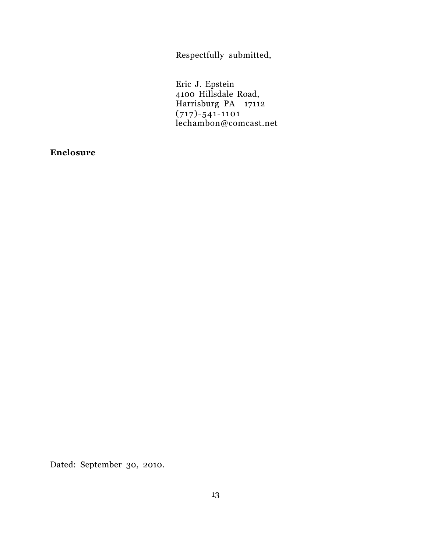Respectfully submitted,

Eric J. Epstein 4100 Hillsdale Road, Harrisburg PA 17112 (717)-541-1101 lechambon@comcast.net

**Enclosure**

Dated: September 30, 2010.